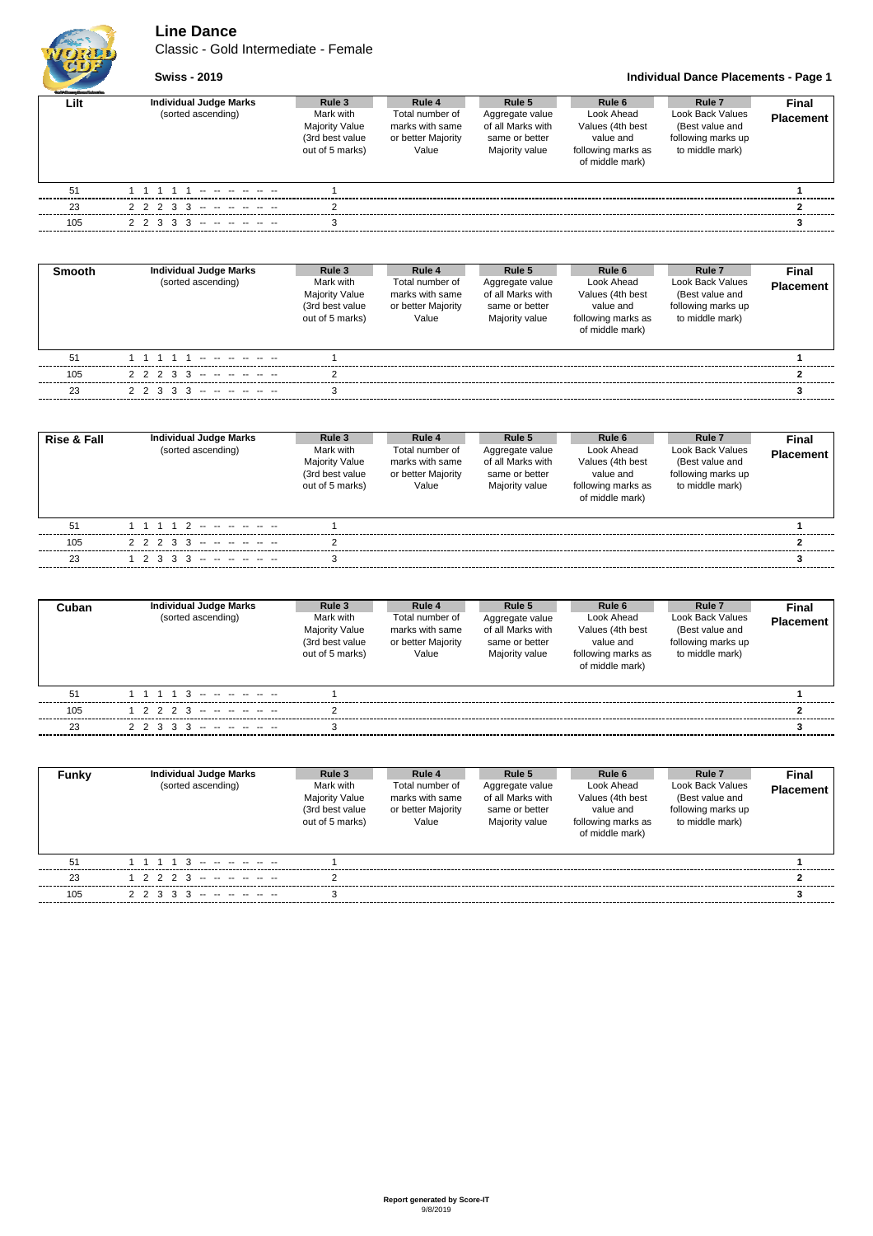**Line Dance**

Classic - Gold Intermediate - Female

**Swiss - 2019 Individual Dance Placements - Page 1**

| <b>Guild Grantes Europe's density</b> |                                                     |                                                                                    |                                                                             |                                                                                    |                                                                                                |                                                                                                   |                           |
|---------------------------------------|-----------------------------------------------------|------------------------------------------------------------------------------------|-----------------------------------------------------------------------------|------------------------------------------------------------------------------------|------------------------------------------------------------------------------------------------|---------------------------------------------------------------------------------------------------|---------------------------|
| Lilt                                  | <b>Individual Judge Marks</b><br>(sorted ascending) | Rule 3<br>Mark with<br><b>Majority Value</b><br>(3rd best value<br>out of 5 marks) | Rule 4<br>Total number of<br>marks with same<br>or better Majority<br>Value | Rule 5<br>Aggregate value<br>of all Marks with<br>same or better<br>Majority value | Rule 6<br>Look Ahead<br>Values (4th best<br>value and<br>following marks as<br>of middle mark) | Rule <sub>7</sub><br>Look Back Values<br>(Best value and<br>following marks up<br>to middle mark) | Final<br><b>Placement</b> |
| 51                                    |                                                     |                                                                                    |                                                                             |                                                                                    |                                                                                                |                                                                                                   |                           |
| 23                                    | $2$ 2 2 3 3 -- -- -- -- --                          |                                                                                    |                                                                             |                                                                                    |                                                                                                |                                                                                                   |                           |
| 105                                   | 2 2 3 3 3 --------                                  |                                                                                    |                                                                             |                                                                                    |                                                                                                |                                                                                                   |                           |

| <b>Smooth</b> | <b>Individual Judge Marks</b><br>(sorted ascending) | Rule 3<br>Mark with<br><b>Majority Value</b><br>(3rd best value<br>out of 5 marks) | Rule 4<br>Total number of<br>marks with same<br>or better Majority<br>Value | Rule 5<br>Aggregate value<br>of all Marks with<br>same or better<br>Majority value | Rule 6<br>Look Ahead<br>Values (4th best<br>value and<br>following marks as<br>of middle mark) | Rule <sub>7</sub><br>Look Back Values<br>(Best value and<br>following marks up<br>to middle mark) | Final<br><b>Placement</b> |
|---------------|-----------------------------------------------------|------------------------------------------------------------------------------------|-----------------------------------------------------------------------------|------------------------------------------------------------------------------------|------------------------------------------------------------------------------------------------|---------------------------------------------------------------------------------------------------|---------------------------|
| 51            | the company of the company                          |                                                                                    |                                                                             |                                                                                    |                                                                                                |                                                                                                   |                           |
| 105           | $2$ 2 2 3 3 -- -- -- -- --                          | ົ                                                                                  |                                                                             |                                                                                    |                                                                                                |                                                                                                   |                           |
| 23            | $2$ 2 3 3 3 -- -- -- -- --                          | 3                                                                                  |                                                                             |                                                                                    |                                                                                                |                                                                                                   |                           |

| <b>Rise &amp; Fall</b> | <b>Individual Judge Marks</b><br>(sorted ascending) | Rule 3<br>Mark with<br>Majority Value<br>(3rd best value<br>out of 5 marks) | Rule 4<br>Total number of<br>marks with same<br>or better Majority<br>Value | Rule 5<br>Aggregate value<br>of all Marks with<br>same or better<br>Majority value | Rule 6<br>Look Ahead<br>Values (4th best<br>value and<br>following marks as<br>of middle mark) | Rule <sub>7</sub><br>Look Back Values<br>(Best value and<br>following marks up<br>to middle mark) | Final<br>Placement |
|------------------------|-----------------------------------------------------|-----------------------------------------------------------------------------|-----------------------------------------------------------------------------|------------------------------------------------------------------------------------|------------------------------------------------------------------------------------------------|---------------------------------------------------------------------------------------------------|--------------------|
| 51                     | 1 1 1 1 2 -- -- -- -- --                            |                                                                             |                                                                             |                                                                                    |                                                                                                |                                                                                                   |                    |
| 105                    | 2 2 2 3 3 -- -- -- -- -- --                         |                                                                             |                                                                             |                                                                                    |                                                                                                |                                                                                                   |                    |
| 23                     | $1$ 2 3 3 3 -- -- -- -- --                          |                                                                             |                                                                             |                                                                                    |                                                                                                |                                                                                                   |                    |

| Cuban | <b>Individual Judge Marks</b><br>(sorted ascending) | Rule 3<br>Mark with<br><b>Majority Value</b><br>(3rd best value<br>out of 5 marks) | Rule 4<br>Total number of<br>marks with same<br>or better Majority<br>Value | Rule 5<br>Aggregate value<br>of all Marks with<br>same or better<br>Majority value | Rule 6<br>Look Ahead<br>Values (4th best<br>value and<br>following marks as<br>of middle mark) | Rule <sub>7</sub><br>Look Back Values<br>(Best value and<br>following marks up<br>to middle mark) | Final<br><b>Placement</b> |
|-------|-----------------------------------------------------|------------------------------------------------------------------------------------|-----------------------------------------------------------------------------|------------------------------------------------------------------------------------|------------------------------------------------------------------------------------------------|---------------------------------------------------------------------------------------------------|---------------------------|
| 51    |                                                     |                                                                                    |                                                                             |                                                                                    |                                                                                                |                                                                                                   |                           |
| 105   | $1 2 2 2 3 - - - - - - -$                           |                                                                                    |                                                                             |                                                                                    |                                                                                                |                                                                                                   |                           |
| 23    | 2 2 3 3 3 -- -- -- -- -- --                         |                                                                                    |                                                                             |                                                                                    |                                                                                                |                                                                                                   |                           |

| Funky | <b>Individual Judge Marks</b><br>(sorted ascending) | Rule 3<br>Mark with<br><b>Majority Value</b><br>(3rd best value<br>out of 5 marks) | Rule 4<br>Total number of<br>marks with same<br>or better Majority<br>Value | Rule 5<br>Aggregate value<br>of all Marks with<br>same or better<br>Majority value | Rule 6<br>Look Ahead<br>Values (4th best<br>value and<br>following marks as<br>of middle mark) | Rule <sub>7</sub><br>Look Back Values<br>(Best value and<br>following marks up<br>to middle mark) | Final<br>Placement |
|-------|-----------------------------------------------------|------------------------------------------------------------------------------------|-----------------------------------------------------------------------------|------------------------------------------------------------------------------------|------------------------------------------------------------------------------------------------|---------------------------------------------------------------------------------------------------|--------------------|
| 51    |                                                     |                                                                                    |                                                                             |                                                                                    |                                                                                                |                                                                                                   |                    |
| 23    | 1 2 2 2 3 -- -- -- -- --                            |                                                                                    |                                                                             |                                                                                    |                                                                                                |                                                                                                   |                    |
| 105   | 2 2 3 3 3 -- -- -- -- --                            |                                                                                    |                                                                             |                                                                                    |                                                                                                |                                                                                                   |                    |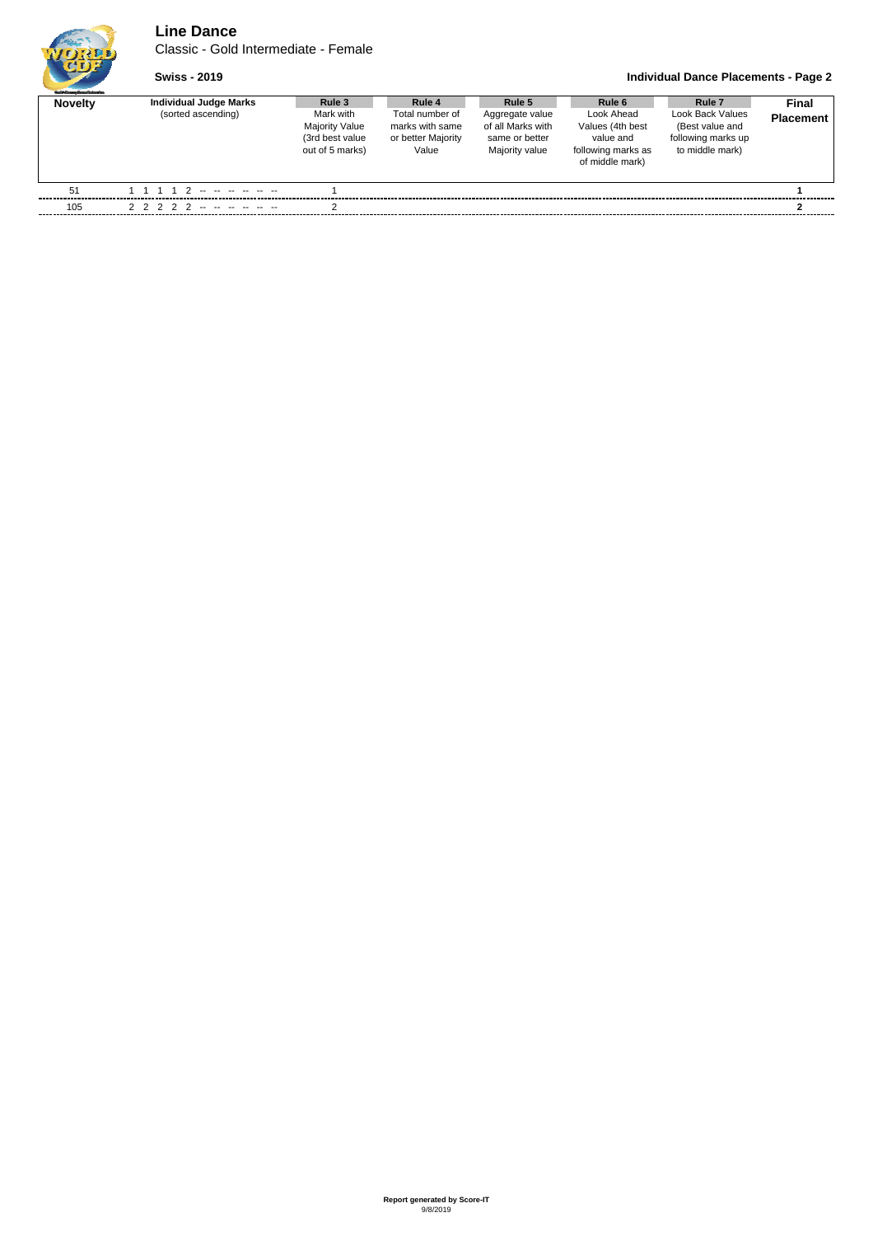**Line Dance**

Classic - Gold Intermediate - Female

## **Swiss - 2019 Individual Dance Placements - Page 2**

| <b>Guild Gauge Barnet's banking</b> |                                              |                                                                                    |                                                                             |                                                                                    |                                                                                                |                                                                                                   |                                  |
|-------------------------------------|----------------------------------------------|------------------------------------------------------------------------------------|-----------------------------------------------------------------------------|------------------------------------------------------------------------------------|------------------------------------------------------------------------------------------------|---------------------------------------------------------------------------------------------------|----------------------------------|
| <b>Novelty</b>                      | Individual Judge Marks<br>(sorted ascending) | Rule 3<br>Mark with<br><b>Majority Value</b><br>(3rd best value<br>out of 5 marks) | Rule 4<br>Total number of<br>marks with same<br>or better Majority<br>Value | Rule 5<br>Aggregate value<br>of all Marks with<br>same or better<br>Majority value | Rule 6<br>Look Ahead<br>Values (4th best<br>value and<br>following marks as<br>of middle mark) | Rule <sub>7</sub><br>Look Back Values<br>(Best value and<br>following marks up<br>to middle mark) | <b>Final</b><br><b>Placement</b> |
| 51                                  |                                              |                                                                                    |                                                                             |                                                                                    |                                                                                                |                                                                                                   |                                  |
| 105                                 | 2 2 2 2 2 -- -- -- -- --                     |                                                                                    |                                                                             |                                                                                    |                                                                                                |                                                                                                   |                                  |
|                                     |                                              |                                                                                    |                                                                             |                                                                                    |                                                                                                |                                                                                                   |                                  |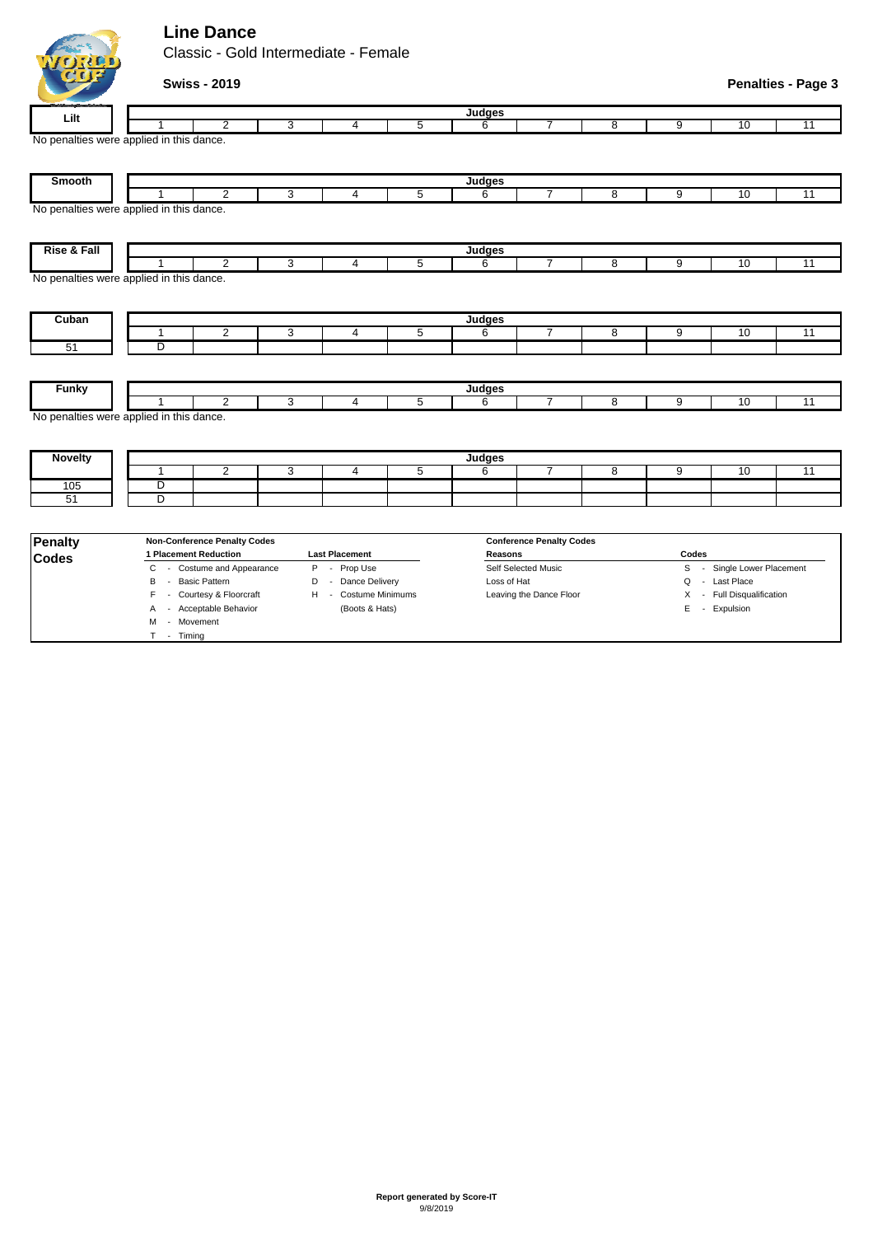# **Line Dance**

Classic - Gold Intermediate - Female



| adalah pemangkanan Pada untuk<br>Lilt    |  |   |   | Judges |  |   |    |  |
|------------------------------------------|--|---|---|--------|--|---|----|--|
|                                          |  | З | G |        |  | 9 | 10 |  |
|                                          |  |   |   |        |  |   |    |  |
| No penalties were applied in this dance. |  |   |   |        |  |   |    |  |
|                                          |  |   |   |        |  |   |    |  |
|                                          |  |   |   |        |  |   |    |  |
|                                          |  |   |   |        |  |   |    |  |
|                                          |  |   |   | Judges |  |   |    |  |
| Smooth                                   |  | 3 | 5 |        |  | 9 | 10 |  |

| & Fall<br>Diec<br>$\cdots$               |  |               |  | . u |  |  |  |
|------------------------------------------|--|---------------|--|-----|--|--|--|
|                                          |  |               |  |     |  |  |  |
| No penalties were applied in this<br>۰۷υ |  | s dance.<br>. |  |     |  |  |  |

| Cuban |  |  |  | Judaes |  |  |  |
|-------|--|--|--|--------|--|--|--|
|       |  |  |  |        |  |  |  |
|       |  |  |  |        |  |  |  |
|       |  |  |  |        |  |  |  |

| Funky                      |                               |  |  | <b>SANAR</b><br>ึ งนนนะ - |  |  |  |
|----------------------------|-------------------------------|--|--|---------------------------|--|--|--|
|                            |                               |  |  |                           |  |  |  |
| No pena<br>IAC MATA<br>பகை | s were applied in this dance. |  |  |                           |  |  |  |

| <b>Novelty</b> |  |  | <b>Ludgee</b><br>vuu<br>-- |  |  |  |
|----------------|--|--|----------------------------|--|--|--|
|                |  |  |                            |  |  |  |
| 105            |  |  |                            |  |  |  |
|                |  |  |                            |  |  |  |

| Penalty      | <b>Non-Conference Penalty Codes</b> |                         | <b>Conference Penalty Codes</b> |                             |
|--------------|-------------------------------------|-------------------------|---------------------------------|-----------------------------|
| <b>Codes</b> | l Placement Reduction               | <b>Last Placement</b>   | Reasons                         | Codes                       |
|              | Costume and Appearance              | Prop Use<br>P<br>$\sim$ | Self Selected Music             | Single Lower Placement<br>s |
|              | Basic Pattern<br>в                  | Dance Delivery          | Loss of Hat                     | Q - Last Place              |
|              | F - Courtesy & Floorcraft           | Costume Minimums<br>н   | Leaving the Dance Floor         | X - Full Disqualification   |
|              | - Acceptable Behavior               | (Boots & Hats)          |                                 | Expulsion<br>E -            |
|              | - Movement<br>м                     |                         |                                 |                             |
|              | Timina                              |                         |                                 |                             |